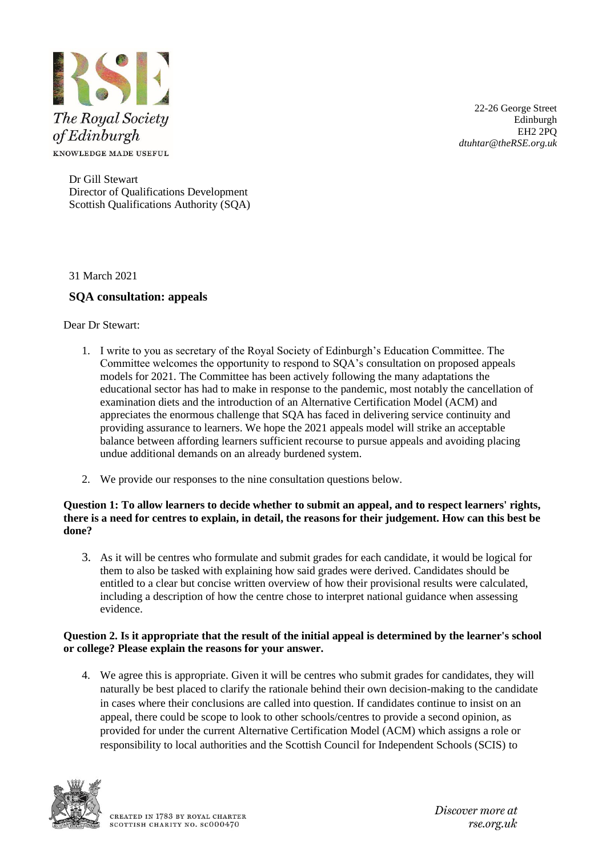

22-26 George Street Edinburgh EH2 2PQ *dtuhtar@theRSE.org.uk*

Dr Gill Stewart Director of Qualifications Development Scottish Qualifications Authority (SQA)

31 March 2021

# **SQA consultation: appeals**

Dear Dr Stewart:

- 1. I write to you as secretary of the Royal Society of Edinburgh's Education Committee. The Committee welcomes the opportunity to respond to SQA's consultation on proposed appeals models for 2021. The Committee has been actively following the many adaptations the educational sector has had to make in response to the pandemic, most notably the cancellation of examination diets and the introduction of an Alternative Certification Model (ACM) and appreciates the enormous challenge that SQA has faced in delivering service continuity and providing assurance to learners. We hope the 2021 appeals model will strike an acceptable balance between affording learners sufficient recourse to pursue appeals and avoiding placing undue additional demands on an already burdened system.
- 2. We provide our responses to the nine consultation questions below.

# **Question 1: To allow learners to decide whether to submit an appeal, and to respect learners' rights, there is a need for centres to explain, in detail, the reasons for their judgement. How can this best be done?**

3. As it will be centres who formulate and submit grades for each candidate, it would be logical for them to also be tasked with explaining how said grades were derived. Candidates should be entitled to a clear but concise written overview of how their provisional results were calculated, including a description of how the centre chose to interpret national guidance when assessing evidence.

# **Question 2. Is it appropriate that the result of the initial appeal is determined by the learner's school or college? Please explain the reasons for your answer.**

4. We agree this is appropriate. Given it will be centres who submit grades for candidates, they will naturally be best placed to clarify the rationale behind their own decision-making to the candidate in cases where their conclusions are called into question. If candidates continue to insist on an appeal, there could be scope to look to other schools/centres to provide a second opinion, as provided for under the current Alternative Certification Model (ACM) which assigns a role or responsibility to local authorities and the Scottish Council for Independent Schools (SCIS) to



Discover more at  $r$ se.org.u $k$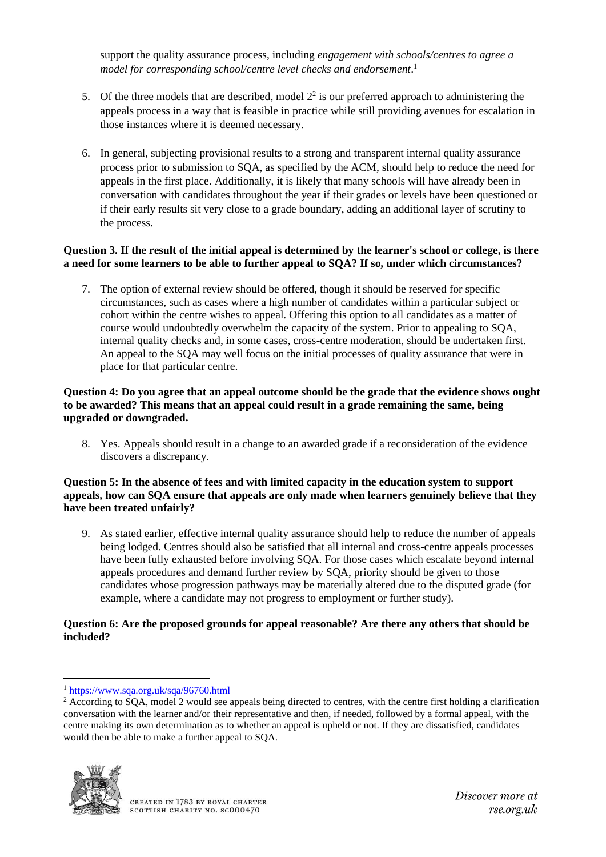support the quality assurance process, including *engagement with schools/centres to agree a model for corresponding school/centre level checks and endorsement*. 1

- 5. Of the three models that are described, model  $2<sup>2</sup>$  is our preferred approach to administering the appeals process in a way that is feasible in practice while still providing avenues for escalation in those instances where it is deemed necessary.
- 6. In general, subjecting provisional results to a strong and transparent internal quality assurance process prior to submission to SQA, as specified by the ACM, should help to reduce the need for appeals in the first place. Additionally, it is likely that many schools will have already been in conversation with candidates throughout the year if their grades or levels have been questioned or if their early results sit very close to a grade boundary, adding an additional layer of scrutiny to the process.

#### **Question 3. If the result of the initial appeal is determined by the learner's school or college, is there a need for some learners to be able to further appeal to SQA? If so, under which circumstances?**

7. The option of external review should be offered, though it should be reserved for specific circumstances, such as cases where a high number of candidates within a particular subject or cohort within the centre wishes to appeal. Offering this option to all candidates as a matter of course would undoubtedly overwhelm the capacity of the system. Prior to appealing to SQA, internal quality checks and, in some cases, cross-centre moderation, should be undertaken first. An appeal to the SQA may well focus on the initial processes of quality assurance that were in place for that particular centre.

#### **Question 4: Do you agree that an appeal outcome should be the grade that the evidence shows ought to be awarded? This means that an appeal could result in a grade remaining the same, being upgraded or downgraded.**

8. Yes. Appeals should result in a change to an awarded grade if a reconsideration of the evidence discovers a discrepancy.

## **Question 5: In the absence of fees and with limited capacity in the education system to support appeals, how can SQA ensure that appeals are only made when learners genuinely believe that they have been treated unfairly?**

9. As stated earlier, effective internal quality assurance should help to reduce the number of appeals being lodged. Centres should also be satisfied that all internal and cross-centre appeals processes have been fully exhausted before involving SQA. For those cases which escalate beyond internal appeals procedures and demand further review by SQA, priority should be given to those candidates whose progression pathways may be materially altered due to the disputed grade (for example, where a candidate may not progress to employment or further study).

# **Question 6: Are the proposed grounds for appeal reasonable? Are there any others that should be included?**

<sup>&</sup>lt;sup>2</sup> According to SQA, model 2 would see appeals being directed to centres, with the centre first holding a clarification conversation with the learner and/or their representative and then, if needed, followed by a formal appeal, with the centre making its own determination as to whether an appeal is upheld or not. If they are dissatisfied, candidates would then be able to make a further appeal to SQA.



<sup>1</sup> <https://www.sqa.org.uk/sqa/96760.html>